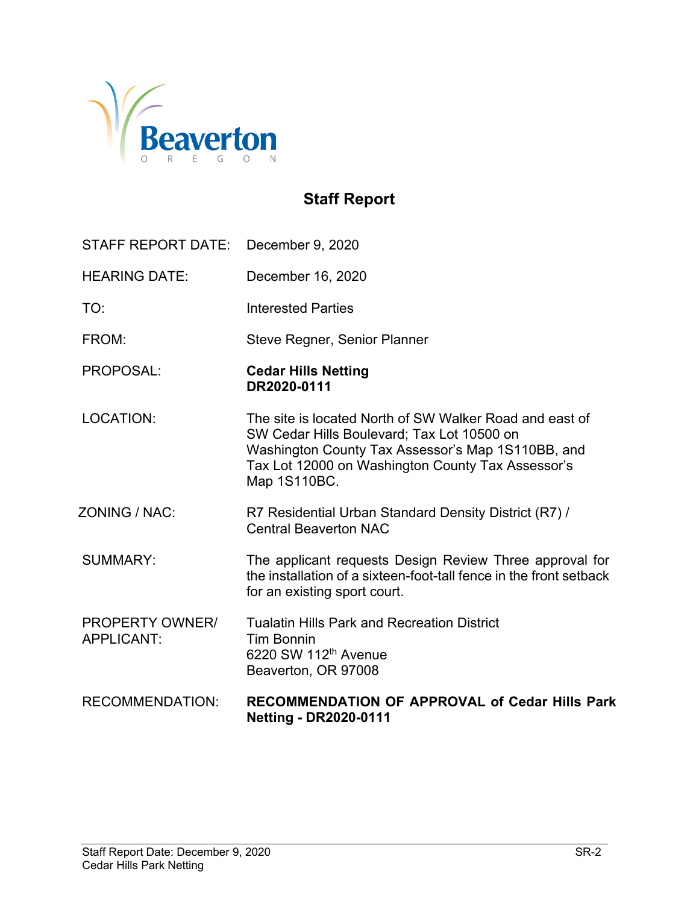

# **Staff Report**

| STAFF REPORT DATE:                          | December 9, 2020                                                                                                                                                                                                                |
|---------------------------------------------|---------------------------------------------------------------------------------------------------------------------------------------------------------------------------------------------------------------------------------|
| <b>HEARING DATE:</b>                        | December 16, 2020                                                                                                                                                                                                               |
| TO:                                         | <b>Interested Parties</b>                                                                                                                                                                                                       |
| FROM:                                       | Steve Regner, Senior Planner                                                                                                                                                                                                    |
| PROPOSAL:                                   | <b>Cedar Hills Netting</b><br>DR2020-0111                                                                                                                                                                                       |
| <b>LOCATION:</b>                            | The site is located North of SW Walker Road and east of<br>SW Cedar Hills Boulevard; Tax Lot 10500 on<br>Washington County Tax Assessor's Map 1S110BB, and<br>Tax Lot 12000 on Washington County Tax Assessor's<br>Map 1S110BC. |
| ZONING / NAC:                               | R7 Residential Urban Standard Density District (R7) /<br><b>Central Beaverton NAC</b>                                                                                                                                           |
| <b>SUMMARY:</b>                             | The applicant requests Design Review Three approval for<br>the installation of a sixteen-foot-tall fence in the front setback<br>for an existing sport court.                                                                   |
| <b>PROPERTY OWNER/</b><br><b>APPLICANT:</b> | <b>Tualatin Hills Park and Recreation District</b><br><b>Tim Bonnin</b><br>6220 SW 112 <sup>th</sup> Avenue<br>Beaverton, OR 97008                                                                                              |
| <b>RECOMMENDATION:</b>                      | <b>RECOMMENDATION OF APPROVAL of Cedar Hills Park</b><br><b>Netting - DR2020-0111</b>                                                                                                                                           |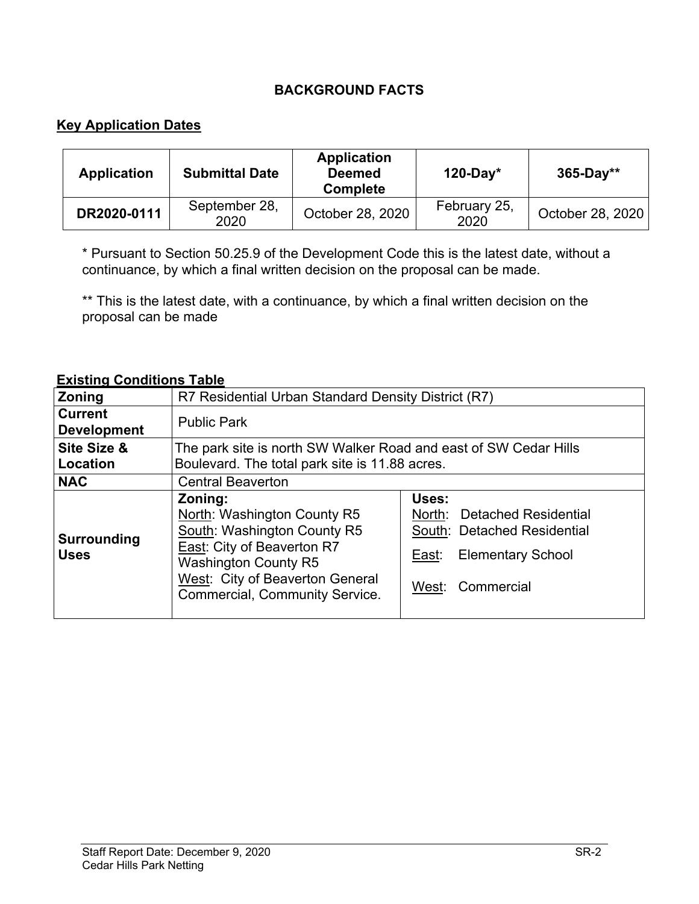## **BACKGROUND FACTS**

## **Key Application Dates**

| <b>Application</b> | <b>Submittal Date</b> | <b>Application</b><br><b>Deemed</b><br><b>Complete</b> | $120-Day*$           | $365 - Day**$    |
|--------------------|-----------------------|--------------------------------------------------------|----------------------|------------------|
| DR2020-0111        | September 28,<br>2020 | October 28, 2020                                       | February 25,<br>2020 | October 28, 2020 |

\* Pursuant to Section 50.25.9 of the Development Code this is the latest date, without a continuance, by which a final written decision on the proposal can be made.

\*\* This is the latest date, with a continuance, by which a final written decision on the proposal can be made

#### **Existing Conditions Table**

| Zoning                               | R7 Residential Urban Standard Density District (R7)                                                                                                                                                                                                                                                                                                                |  |  |
|--------------------------------------|--------------------------------------------------------------------------------------------------------------------------------------------------------------------------------------------------------------------------------------------------------------------------------------------------------------------------------------------------------------------|--|--|
| <b>Current</b><br><b>Development</b> | <b>Public Park</b>                                                                                                                                                                                                                                                                                                                                                 |  |  |
| Site Size &<br>Location              | The park site is north SW Walker Road and east of SW Cedar Hills<br>Boulevard. The total park site is 11.88 acres.                                                                                                                                                                                                                                                 |  |  |
| <b>NAC</b>                           | <b>Central Beaverton</b>                                                                                                                                                                                                                                                                                                                                           |  |  |
| <b>Surrounding</b><br><b>Uses</b>    | Uses:<br>Zoning:<br>North: Washington County R5<br>North:<br><b>Detached Residential</b><br>South: Washington County R5<br>South: Detached Residential<br><b>East: City of Beaverton R7</b><br><b>Elementary School</b><br>East:<br><b>Washington County R5</b><br>West: City of Beaverton General<br>Commercial<br>West:<br><b>Commercial, Community Service.</b> |  |  |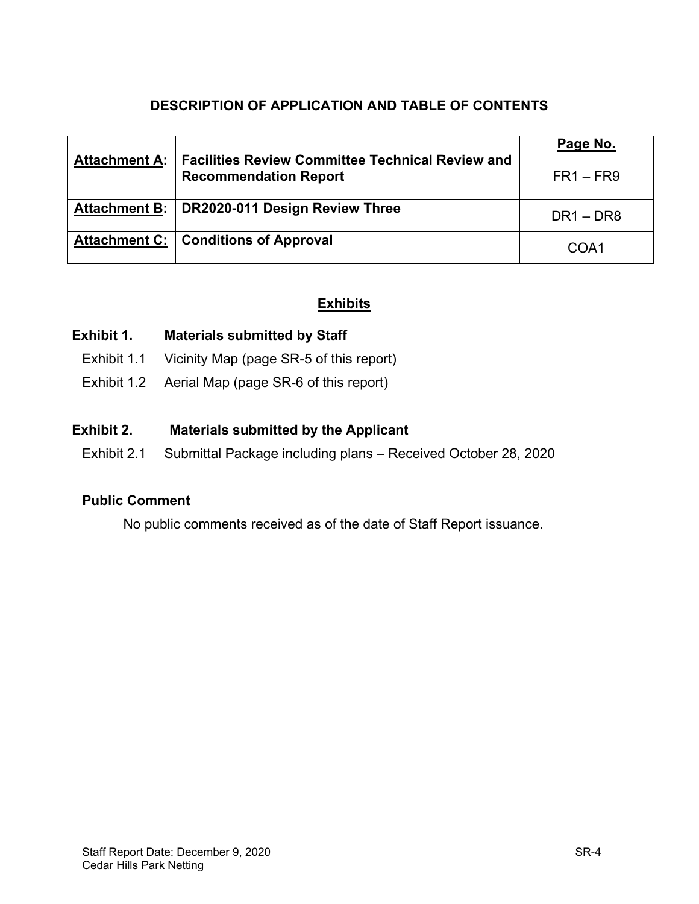# **DESCRIPTION OF APPLICATION AND TABLE OF CONTENTS**

|                      |                                                                                         | Page No.    |
|----------------------|-----------------------------------------------------------------------------------------|-------------|
| <b>Attachment A:</b> | <b>Facilities Review Committee Technical Review and</b><br><b>Recommendation Report</b> | $FR1 - FR9$ |
| <b>Attachment B:</b> | DR2020-011 Design Review Three                                                          | $DR1 - DR8$ |
|                      | Attachment C:   Conditions of Approval                                                  | COA1        |

## **Exhibits**

#### **Exhibit 1. Materials submitted by Staff**

- Exhibit 1.1 Vicinity Map (page SR-5 of this report)
- Exhibit 1.2 Aerial Map (page SR-6 of this report)

#### **Exhibit 2. Materials submitted by the Applicant**

Exhibit 2.1 Submittal Package including plans – Received October 28, 2020

#### **Public Comment**

No public comments received as of the date of Staff Report issuance.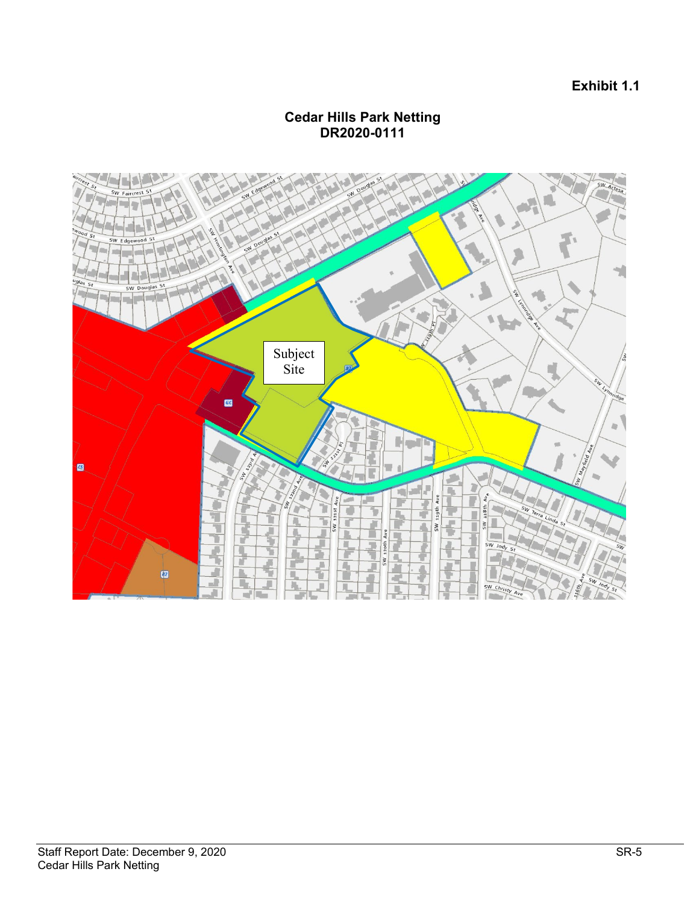#### **Exhibit 1.1**

#### **Cedar Hills Park Netting DR2020-0111**

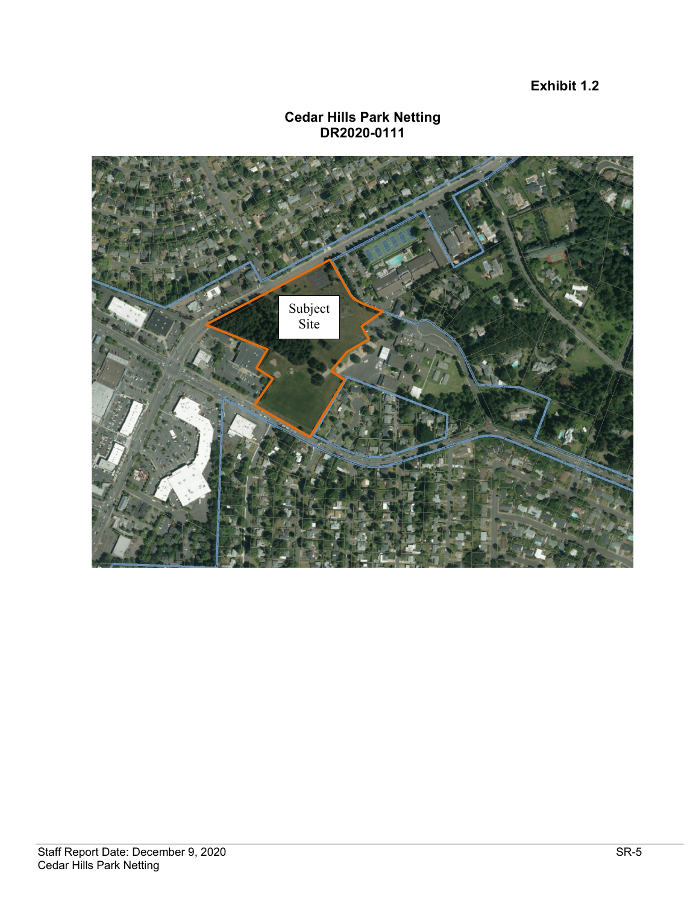**Exhibit 1.2**

#### **Cedar Hills Park Netting DR2020-0111**

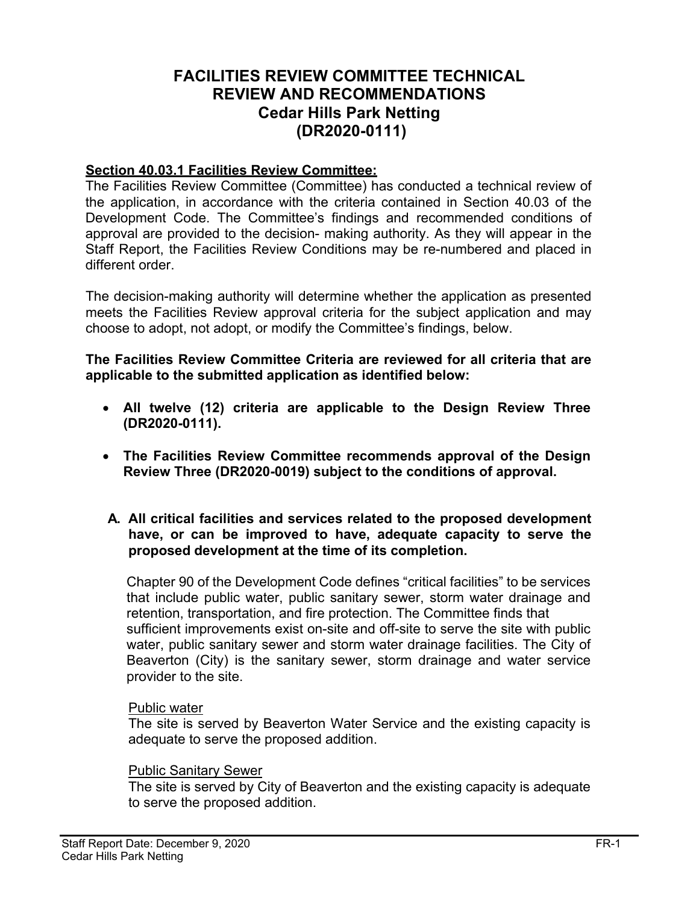# **FACILITIES REVIEW COMMITTEE TECHNICAL REVIEW AND RECOMMENDATIONS Cedar Hills Park Netting (DR2020-0111)**

#### **Section 40.03.1 Facilities Review Committee:**

The Facilities Review Committee (Committee) has conducted a technical review of the application, in accordance with the criteria contained in Section 40.03 of the Development Code. The Committee's findings and recommended conditions of approval are provided to the decision- making authority. As they will appear in the Staff Report, the Facilities Review Conditions may be re-numbered and placed in different order.

The decision-making authority will determine whether the application as presented meets the Facilities Review approval criteria for the subject application and may choose to adopt, not adopt, or modify the Committee's findings, below.

**The Facilities Review Committee Criteria are reviewed for all criteria that are applicable to the submitted application as identified below:**

- **All twelve (12) criteria are applicable to the Design Review Three (DR2020-0111).**
- **The Facilities Review Committee recommends approval of the Design Review Three (DR2020-0019) subject to the conditions of approval.**
- **A. All critical facilities and services related to the proposed development have, or can be improved to have, adequate capacity to serve the proposed development at the time of its completion.**

Chapter 90 of the Development Code defines "critical facilities" to be services that include public water, public sanitary sewer, storm water drainage and retention, transportation, and fire protection. The Committee finds that sufficient improvements exist on-site and off-site to serve the site with public water, public sanitary sewer and storm water drainage facilities. The City of Beaverton (City) is the sanitary sewer, storm drainage and water service provider to the site.

#### Public water

The site is served by Beaverton Water Service and the existing capacity is adequate to serve the proposed addition.

#### Public Sanitary Sewer

The site is served by City of Beaverton and the existing capacity is adequate to serve the proposed addition.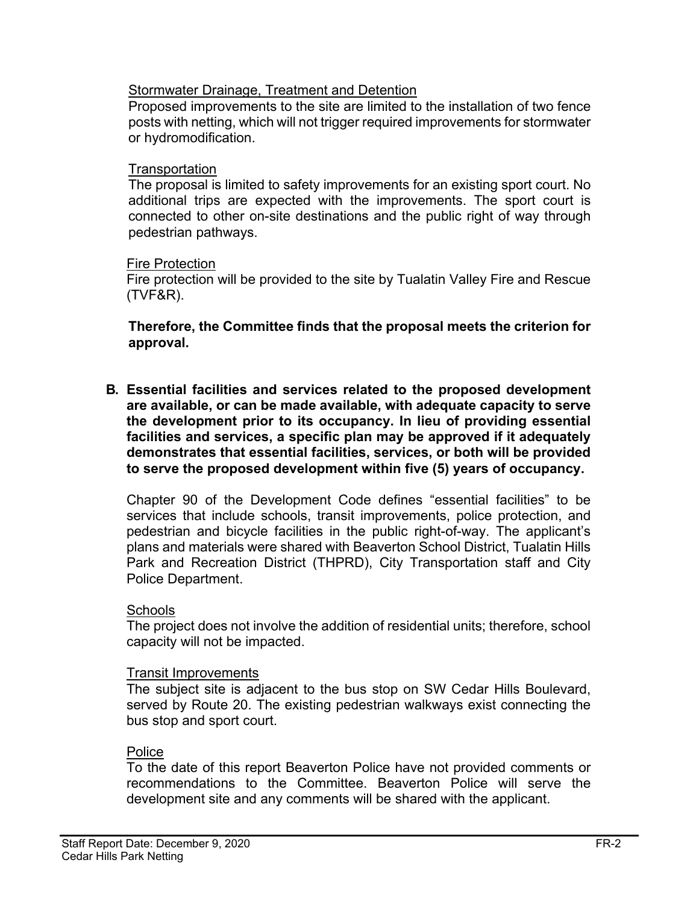#### **Stormwater Drainage, Treatment and Detention**

Proposed improvements to the site are limited to the installation of two fence posts with netting, which will not trigger required improvements for stormwater or hydromodification.

#### **Transportation**

The proposal is limited to safety improvements for an existing sport court. No additional trips are expected with the improvements. The sport court is connected to other on-site destinations and the public right of way through pedestrian pathways.

#### Fire Protection

Fire protection will be provided to the site by Tualatin Valley Fire and Rescue (TVF&R).

**Therefore, the Committee finds that the proposal meets the criterion for approval.**

**B. Essential facilities and services related to the proposed development are available, or can be made available, with adequate capacity to serve the development prior to its occupancy. In lieu of providing essential facilities and services, a specific plan may be approved if it adequately demonstrates that essential facilities, services, or both will be provided to serve the proposed development within five (5) years of occupancy.**

Chapter 90 of the Development Code defines "essential facilities" to be services that include schools, transit improvements, police protection, and pedestrian and bicycle facilities in the public right-of-way. The applicant's plans and materials were shared with Beaverton School District, Tualatin Hills Park and Recreation District (THPRD), City Transportation staff and City Police Department.

#### **Schools**

The project does not involve the addition of residential units; therefore, school capacity will not be impacted.

#### Transit Improvements

The subject site is adjacent to the bus stop on SW Cedar Hills Boulevard, served by Route 20. The existing pedestrian walkways exist connecting the bus stop and sport court.

#### Police

To the date of this report Beaverton Police have not provided comments or recommendations to the Committee. Beaverton Police will serve the development site and any comments will be shared with the applicant.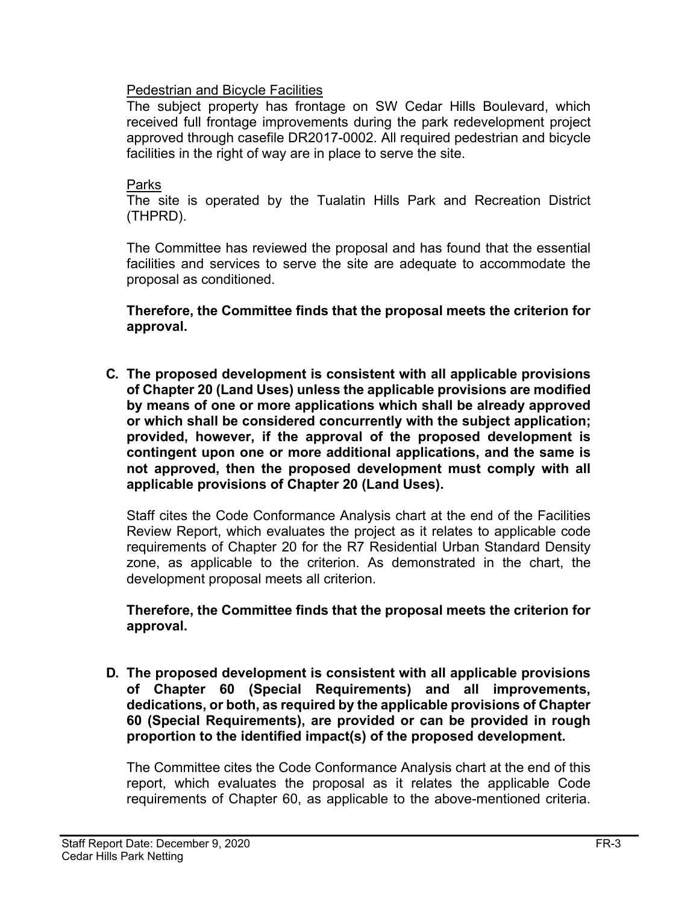#### Pedestrian and Bicycle Facilities

The subject property has frontage on SW Cedar Hills Boulevard, which received full frontage improvements during the park redevelopment project approved through casefile DR2017-0002. All required pedestrian and bicycle facilities in the right of way are in place to serve the site.

#### Parks

The site is operated by the Tualatin Hills Park and Recreation District (THPRD).

The Committee has reviewed the proposal and has found that the essential facilities and services to serve the site are adequate to accommodate the proposal as conditioned.

**Therefore, the Committee finds that the proposal meets the criterion for approval.**

**C. The proposed development is consistent with all applicable provisions of Chapter 20 (Land Uses) unless the applicable provisions are modified by means of one or more applications which shall be already approved or which shall be considered concurrently with the subject application; provided, however, if the approval of the proposed development is contingent upon one or more additional applications, and the same is not approved, then the proposed development must comply with all applicable provisions of Chapter 20 (Land Uses).**

Staff cites the Code Conformance Analysis chart at the end of the Facilities Review Report, which evaluates the project as it relates to applicable code requirements of Chapter 20 for the R7 Residential Urban Standard Density zone, as applicable to the criterion. As demonstrated in the chart, the development proposal meets all criterion.

**Therefore, the Committee finds that the proposal meets the criterion for approval.**

**D. The proposed development is consistent with all applicable provisions of Chapter 60 (Special Requirements) and all improvements, dedications, or both, as required by the applicable provisions of Chapter 60 (Special Requirements), are provided or can be provided in rough proportion to the identified impact(s) of the proposed development.** 

The Committee cites the Code Conformance Analysis chart at the end of this report, which evaluates the proposal as it relates the applicable Code requirements of Chapter 60, as applicable to the above-mentioned criteria.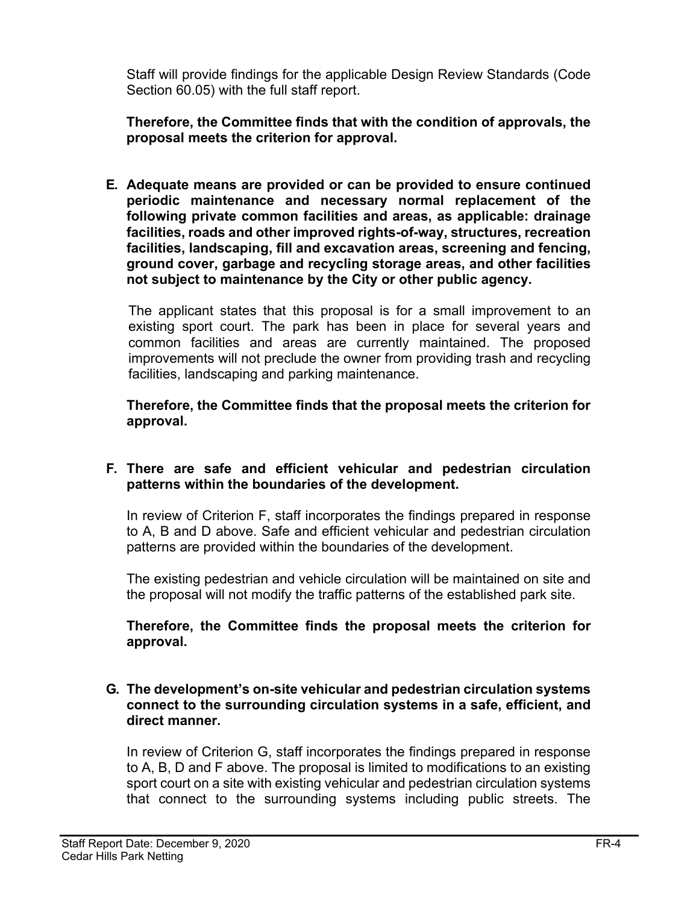Staff will provide findings for the applicable Design Review Standards (Code Section 60.05) with the full staff report.

**Therefore, the Committee finds that with the condition of approvals, the proposal meets the criterion for approval.**

**E. Adequate means are provided or can be provided to ensure continued periodic maintenance and necessary normal replacement of the following private common facilities and areas, as applicable: drainage facilities, roads and other improved rights-of-way, structures, recreation facilities, landscaping, fill and excavation areas, screening and fencing, ground cover, garbage and recycling storage areas, and other facilities not subject to maintenance by the City or other public agency.**

The applicant states that this proposal is for a small improvement to an existing sport court. The park has been in place for several years and common facilities and areas are currently maintained. The proposed improvements will not preclude the owner from providing trash and recycling facilities, landscaping and parking maintenance.

**Therefore, the Committee finds that the proposal meets the criterion for approval.**

#### **F. There are safe and efficient vehicular and pedestrian circulation patterns within the boundaries of the development.**

In review of Criterion F, staff incorporates the findings prepared in response to A, B and D above. Safe and efficient vehicular and pedestrian circulation patterns are provided within the boundaries of the development.

The existing pedestrian and vehicle circulation will be maintained on site and the proposal will not modify the traffic patterns of the established park site.

**Therefore, the Committee finds the proposal meets the criterion for approval.**

#### **G. The development's on-site vehicular and pedestrian circulation systems connect to the surrounding circulation systems in a safe, efficient, and direct manner.**

In review of Criterion G, staff incorporates the findings prepared in response to A, B, D and F above. The proposal is limited to modifications to an existing sport court on a site with existing vehicular and pedestrian circulation systems that connect to the surrounding systems including public streets. The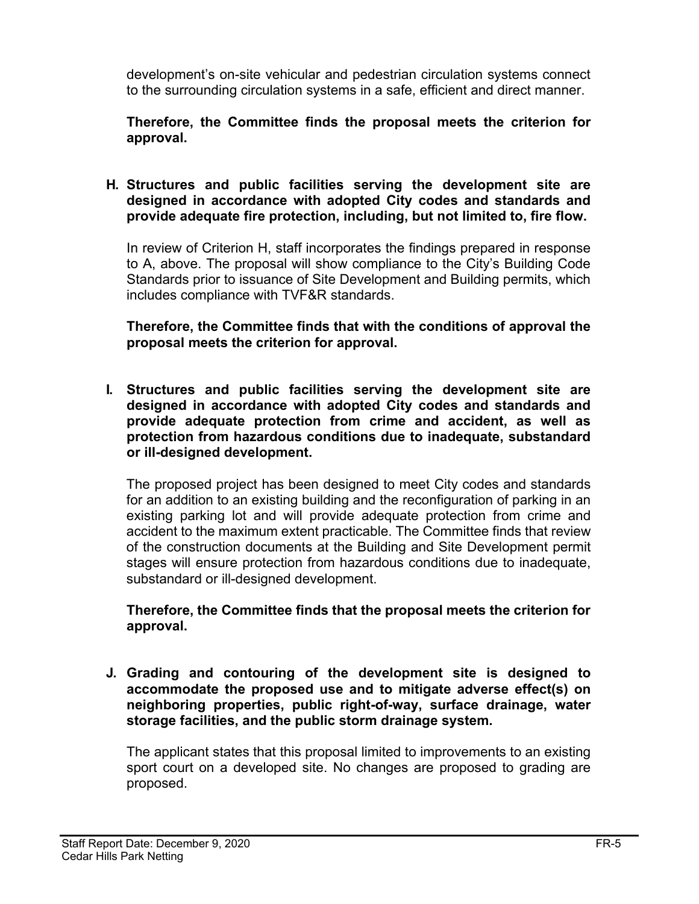development's on-site vehicular and pedestrian circulation systems connect to the surrounding circulation systems in a safe, efficient and direct manner.

#### **Therefore, the Committee finds the proposal meets the criterion for approval.**

#### **H. Structures and public facilities serving the development site are designed in accordance with adopted City codes and standards and provide adequate fire protection, including, but not limited to, fire flow.**

In review of Criterion H, staff incorporates the findings prepared in response to A, above. The proposal will show compliance to the City's Building Code Standards prior to issuance of Site Development and Building permits, which includes compliance with TVF&R standards.

**Therefore, the Committee finds that with the conditions of approval the proposal meets the criterion for approval.**

**I. Structures and public facilities serving the development site are designed in accordance with adopted City codes and standards and provide adequate protection from crime and accident, as well as protection from hazardous conditions due to inadequate, substandard or ill-designed development.**

The proposed project has been designed to meet City codes and standards for an addition to an existing building and the reconfiguration of parking in an existing parking lot and will provide adequate protection from crime and accident to the maximum extent practicable. The Committee finds that review of the construction documents at the Building and Site Development permit stages will ensure protection from hazardous conditions due to inadequate, substandard or ill-designed development.

**Therefore, the Committee finds that the proposal meets the criterion for approval.**

**J. Grading and contouring of the development site is designed to accommodate the proposed use and to mitigate adverse effect(s) on neighboring properties, public right-of-way, surface drainage, water storage facilities, and the public storm drainage system.**

The applicant states that this proposal limited to improvements to an existing sport court on a developed site. No changes are proposed to grading are proposed.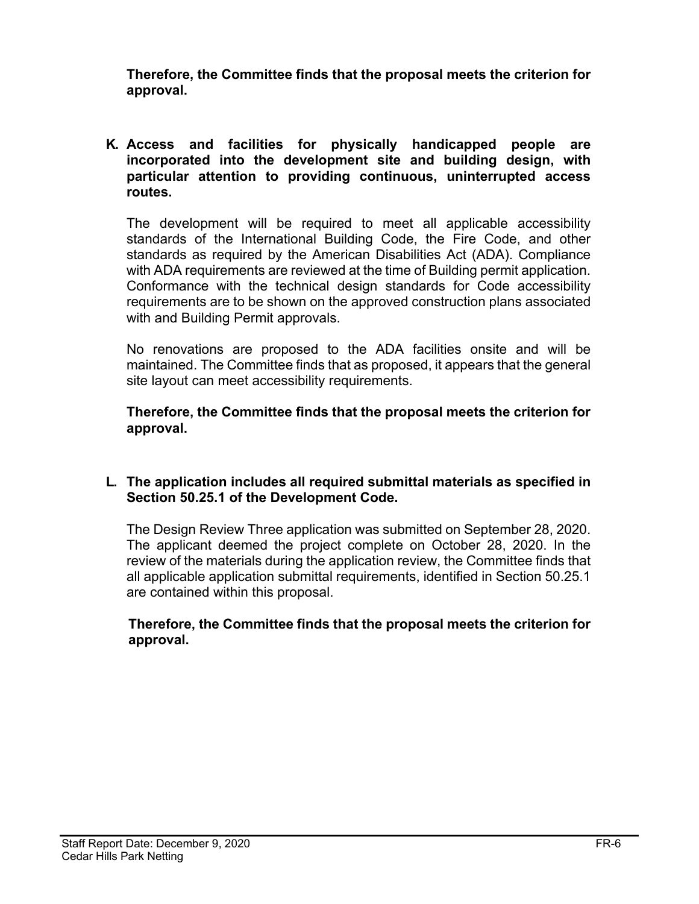**Therefore, the Committee finds that the proposal meets the criterion for approval.**

**K. Access and facilities for physically handicapped people are incorporated into the development site and building design, with particular attention to providing continuous, uninterrupted access routes.**

The development will be required to meet all applicable accessibility standards of the International Building Code, the Fire Code, and other standards as required by the American Disabilities Act (ADA). Compliance with ADA requirements are reviewed at the time of Building permit application. Conformance with the technical design standards for Code accessibility requirements are to be shown on the approved construction plans associated with and Building Permit approvals.

No renovations are proposed to the ADA facilities onsite and will be maintained. The Committee finds that as proposed, it appears that the general site layout can meet accessibility requirements.

**Therefore, the Committee finds that the proposal meets the criterion for approval.**

#### **L. The application includes all required submittal materials as specified in Section 50.25.1 of the Development Code.**

The Design Review Three application was submitted on September 28, 2020. The applicant deemed the project complete on October 28, 2020. In the review of the materials during the application review, the Committee finds that all applicable application submittal requirements, identified in Section 50.25.1 are contained within this proposal.

#### **Therefore, the Committee finds that the proposal meets the criterion for approval.**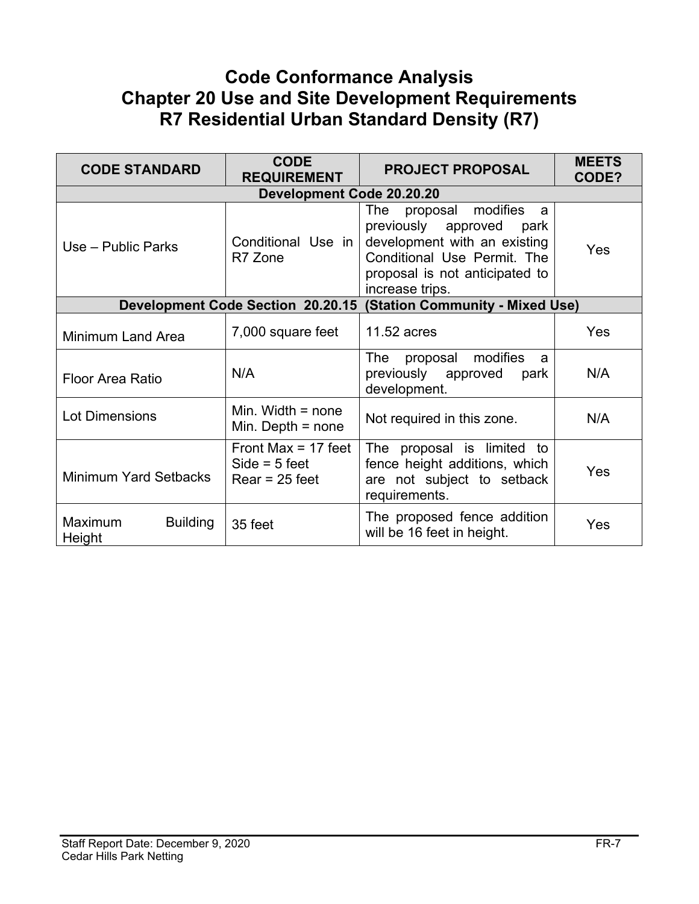# **Code Conformance Analysis Chapter 20 Use and Site Development Requirements R7 Residential Urban Standard Density (R7)**

| <b>CODE STANDARD</b>                 | <b>CODE</b><br><b>REQUIREMENT</b>                            | <b>PROJECT PROPOSAL</b>                                                                                                                                                          | <b>MEETS</b><br>CODE? |
|--------------------------------------|--------------------------------------------------------------|----------------------------------------------------------------------------------------------------------------------------------------------------------------------------------|-----------------------|
|                                      | <b>Development Code 20.20.20</b>                             |                                                                                                                                                                                  |                       |
| Use – Public Parks                   | Conditional Use in<br>R7 Zone                                | modifies<br>The<br>proposal<br>a<br>previously approved park<br>development with an existing<br>Conditional Use Permit. The<br>proposal is not anticipated to<br>increase trips. | Yes                   |
|                                      | <b>Development Code Section 20.20.15</b>                     | <b>(Station Community - Mixed Use)</b>                                                                                                                                           |                       |
| <b>Minimum Land Area</b>             | 7,000 square feet                                            | 11.52 acres                                                                                                                                                                      | <b>Yes</b>            |
| Floor Area Ratio                     | N/A                                                          | modifies<br>The<br>proposal<br>a<br>previously approved<br>park<br>development.                                                                                                  | N/A                   |
| <b>Lot Dimensions</b>                | Min. Width $=$ none<br>Min. Depth $=$ none                   | Not required in this zone.                                                                                                                                                       | N/A                   |
| <b>Minimum Yard Setbacks</b>         | Front Max = $17$ feet<br>$Side = 5 feet$<br>$Rear = 25$ feet | The proposal is limited to<br>fence height additions, which<br>are not subject to setback<br>requirements.                                                                       | Yes                   |
| Maximum<br><b>Building</b><br>Height | 35 feet                                                      | The proposed fence addition<br>will be 16 feet in height.                                                                                                                        | Yes                   |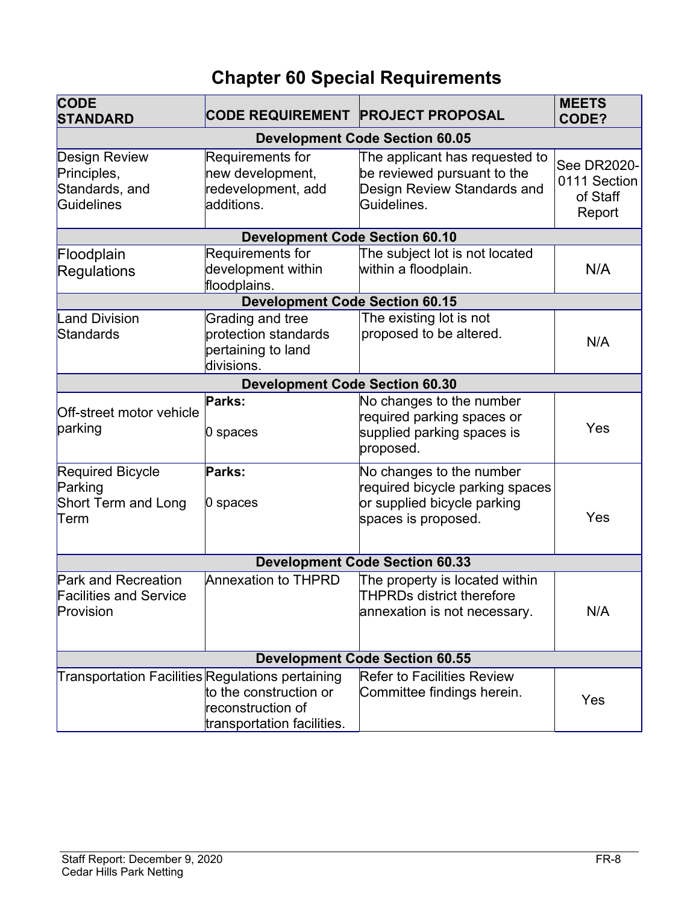# **Chapter 60 Special Requirements**

| <b>CODE</b><br><b>STANDARD</b>                                           | <b>CODE REQUIREMENT PROJECT PROPOSAL</b>                                     |                                                                                                                   | <b>MEETS</b><br>CODE?                             |  |
|--------------------------------------------------------------------------|------------------------------------------------------------------------------|-------------------------------------------------------------------------------------------------------------------|---------------------------------------------------|--|
|                                                                          |                                                                              | <b>Development Code Section 60.05</b>                                                                             |                                                   |  |
| <b>Design Review</b><br>Principles,<br>Standards, and<br>Guidelines      | Requirements for<br>new development,<br>redevelopment, add<br>additions.     | The applicant has requested to<br>be reviewed pursuant to the<br>Design Review Standards and<br>Guidelines.       | See DR2020-<br>0111 Section<br>of Staff<br>Report |  |
|                                                                          | <b>Development Code Section 60.10</b>                                        |                                                                                                                   |                                                   |  |
| Floodplain<br>Regulations                                                | Requirements for<br>development within<br>floodplains.                       | The subject lot is not located<br>within a floodplain.                                                            | N/A                                               |  |
|                                                                          | <b>Development Code Section 60.15</b>                                        |                                                                                                                   |                                                   |  |
| <b>Land Division</b><br>Standards                                        | Grading and tree<br>protection standards<br>pertaining to land<br>divisions. | The existing lot is not<br>proposed to be altered.                                                                | N/A                                               |  |
|                                                                          | <b>Development Code Section 60.30</b>                                        |                                                                                                                   |                                                   |  |
| Off-street motor vehicle<br>parking                                      | Parks:<br>0 spaces                                                           | No changes to the number<br>required parking spaces or<br>supplied parking spaces is<br>proposed.                 | Yes                                               |  |
| Required Bicycle<br>Parking<br>Short Term and Long<br>Term               | Parks:<br>0 spaces                                                           | No changes to the number<br>required bicycle parking spaces<br>or supplied bicycle parking<br>spaces is proposed. | Yes                                               |  |
|                                                                          |                                                                              | <b>Development Code Section 60.33</b>                                                                             |                                                   |  |
| <b>Park and Recreation</b><br><b>Facilities and Service</b><br>Provision | <b>Annexation to THPRD</b>                                                   | The property is located within<br>THPRDs district therefore<br>annexation is not necessary.                       | N/A                                               |  |
|                                                                          | <b>Development Code Section 60.55</b>                                        |                                                                                                                   |                                                   |  |
| Transportation Facilities Regulations pertaining                         | to the construction or<br>reconstruction of<br>transportation facilities.    | <b>Refer to Facilities Review</b><br>Committee findings herein.                                                   | Yes                                               |  |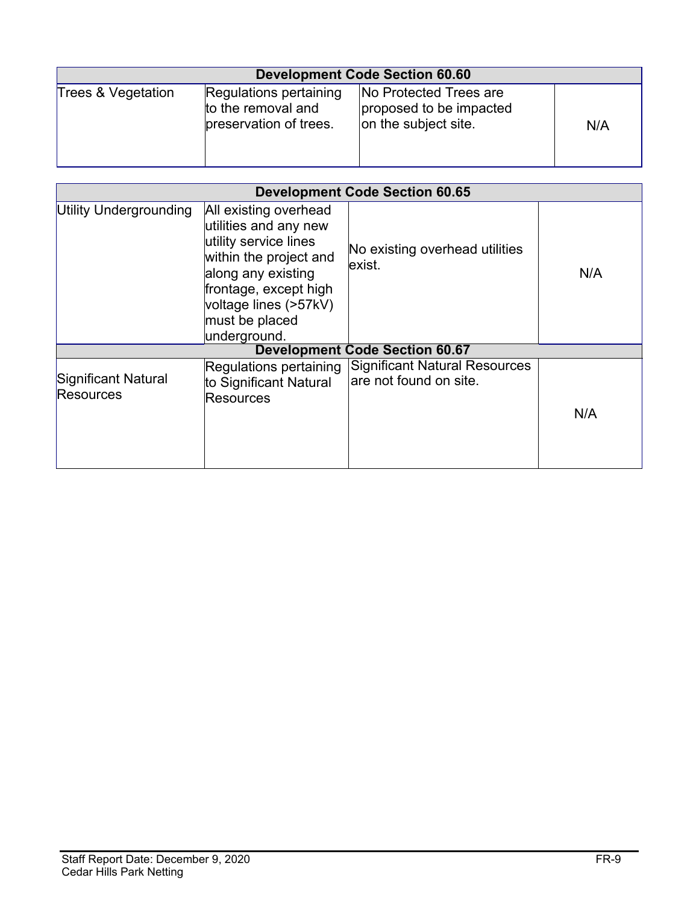| <b>Development Code Section 60.60</b> |                                                                        |                                                                           |     |
|---------------------------------------|------------------------------------------------------------------------|---------------------------------------------------------------------------|-----|
| Trees & Vegetation                    | Regulations pertaining<br>to the removal and<br>preservation of trees. | No Protected Trees are<br>proposed to be impacted<br>on the subject site. | N/A |

| <b>Development Code Section 60.65</b> |                                                                                                                                                                                                             |                                                                |     |
|---------------------------------------|-------------------------------------------------------------------------------------------------------------------------------------------------------------------------------------------------------------|----------------------------------------------------------------|-----|
| Utility Undergrounding                | All existing overhead<br>utilities and any new<br>utility service lines<br>within the project and<br>along any existing<br>frontage, except high<br>voltage lines (>57kV)<br>must be placed<br>underground. | No existing overhead utilities<br>lexist.                      | N/A |
|                                       |                                                                                                                                                                                                             | <b>Development Code Section 60.67</b>                          |     |
| Significant Natural<br>Resources      | Regulations pertaining<br>to Significant Natural<br>Resources                                                                                                                                               | <b>Significant Natural Resources</b><br>are not found on site. | N/A |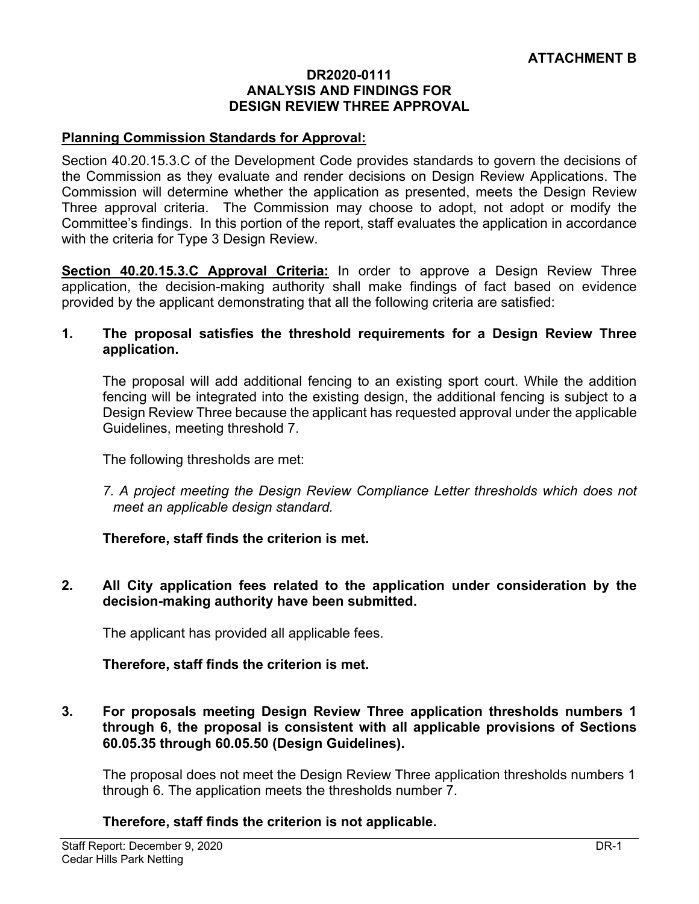#### **DR2020-0111 ANALYSIS AND FINDINGS FOR DESIGN REVIEW THREE APPROVAL**

#### **Planning Commission Standards for Approval:**

Section 40.20.15.3.C of the Development Code provides standards to govern the decisions of the Commission as they evaluate and render decisions on Design Review Applications. The Commission will determine whether the application as presented, meets the Design Review Three approval criteria. The Commission may choose to adopt, not adopt or modify the Committee's findings. In this portion of the report, staff evaluates the application in accordance with the criteria for Type 3 Design Review.

**Section 40.20.15.3.C Approval Criteria:** In order to approve a Design Review Three application, the decision-making authority shall make findings of fact based on evidence provided by the applicant demonstrating that all the following criteria are satisfied:

#### **1. The proposal satisfies the threshold requirements for a Design Review Three application.**

The proposal will add additional fencing to an existing sport court. While the addition fencing will be integrated into the existing design, the additional fencing is subject to a Design Review Three because the applicant has requested approval under the applicable Guidelines, meeting threshold 7.

The following thresholds are met:

*7. A project meeting the Design Review Compliance Letter thresholds which does not meet an applicable design standard.*

#### **Therefore, staff finds the criterion is met.**

**2. All City application fees related to the application under consideration by the decision-making authority have been submitted.**

The applicant has provided all applicable fees.

#### **Therefore, staff finds the criterion is met.**

**3. For proposals meeting Design Review Three application thresholds numbers 1 through 6, the proposal is consistent with all applicable provisions of Sections 60.05.35 through 60.05.50 (Design Guidelines).**

The proposal does not meet the Design Review Three application thresholds numbers 1 through 6. The application meets the thresholds number 7.

#### **Therefore, staff finds the criterion is not applicable.**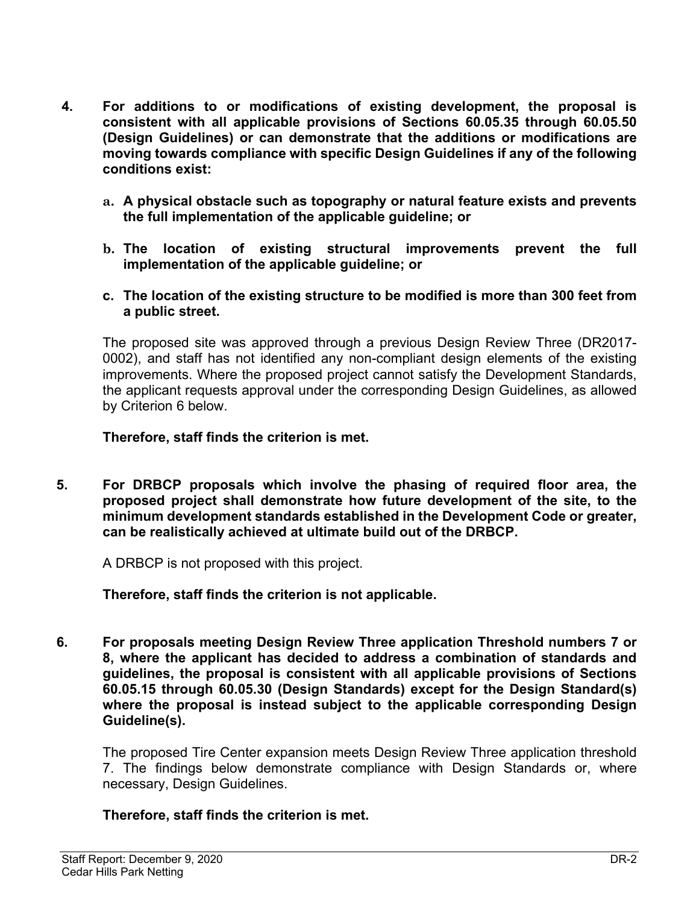- **4. For additions to or modifications of existing development, the proposal is consistent with all applicable provisions of Sections 60.05.35 through 60.05.50 (Design Guidelines) or can demonstrate that the additions or modifications are moving towards compliance with specific Design Guidelines if any of the following conditions exist:**
	- **a. A physical obstacle such as topography or natural feature exists and prevents the full implementation of the applicable guideline; or**
	- **b. The location of existing structural improvements prevent the full implementation of the applicable guideline; or**
	- **c. The location of the existing structure to be modified is more than 300 feet from a public street.**

The proposed site was approved through a previous Design Review Three (DR2017- 0002), and staff has not identified any non-compliant design elements of the existing improvements. Where the proposed project cannot satisfy the Development Standards, the applicant requests approval under the corresponding Design Guidelines, as allowed by Criterion 6 below.

**Therefore, staff finds the criterion is met.** 

**5. For DRBCP proposals which involve the phasing of required floor area, the proposed project shall demonstrate how future development of the site, to the minimum development standards established in the Development Code or greater, can be realistically achieved at ultimate build out of the DRBCP.**

A DRBCP is not proposed with this project.

**Therefore, staff finds the criterion is not applicable.** 

**6. For proposals meeting Design Review Three application Threshold numbers 7 or 8, where the applicant has decided to address a combination of standards and guidelines, the proposal is consistent with all applicable provisions of Sections 60.05.15 through 60.05.30 (Design Standards) except for the Design Standard(s) where the proposal is instead subject to the applicable corresponding Design Guideline(s).**

The proposed Tire Center expansion meets Design Review Three application threshold 7. The findings below demonstrate compliance with Design Standards or, where necessary, Design Guidelines.

#### **Therefore, staff finds the criterion is met.**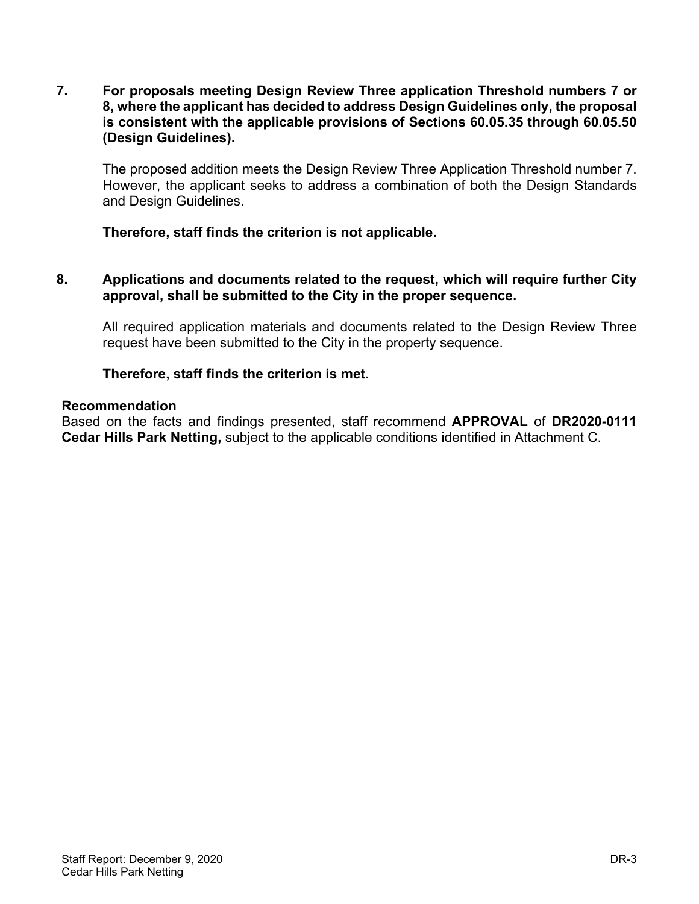**7. For proposals meeting Design Review Three application Threshold numbers 7 or 8, where the applicant has decided to address Design Guidelines only, the proposal is consistent with the applicable provisions of Sections 60.05.35 through 60.05.50 (Design Guidelines).**

The proposed addition meets the Design Review Three Application Threshold number 7. However, the applicant seeks to address a combination of both the Design Standards and Design Guidelines.

**Therefore, staff finds the criterion is not applicable.** 

**8. Applications and documents related to the request, which will require further City approval, shall be submitted to the City in the proper sequence.**

All required application materials and documents related to the Design Review Three request have been submitted to the City in the property sequence.

#### **Therefore, staff finds the criterion is met.**

#### **Recommendation**

Based on the facts and findings presented, staff recommend **APPROVAL** of **DR2020-0111 Cedar Hills Park Netting,** subject to the applicable conditions identified in Attachment C.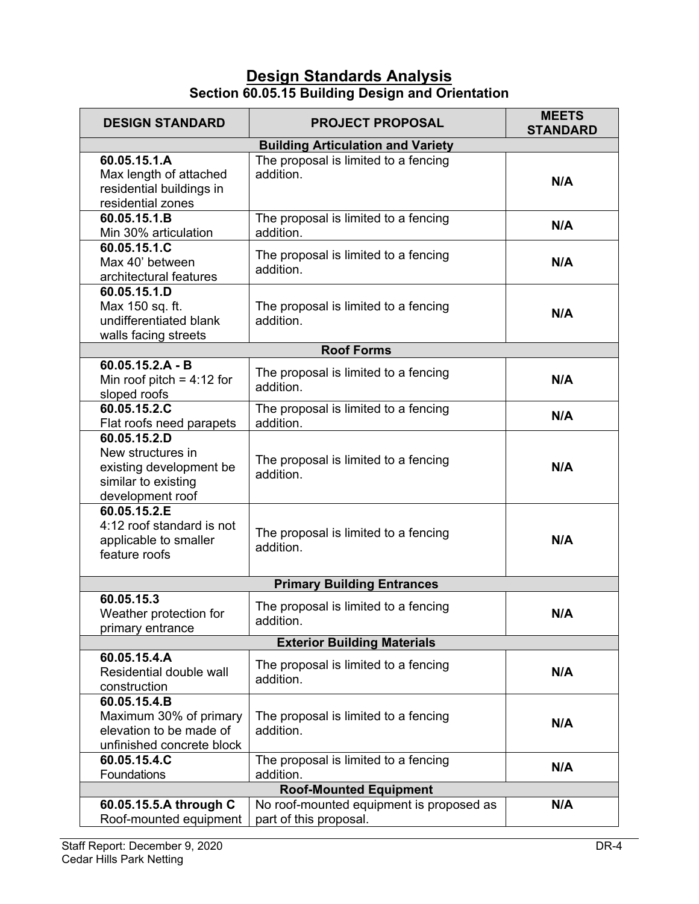## **Design Standards Analysis Section 60.05.15 Building Design and Orientation**

| <b>DESIGN STANDARD</b>                                                                                  | <b>PROJECT PROPOSAL</b>                                            | <b>MEETS</b><br><b>STANDARD</b> |  |  |
|---------------------------------------------------------------------------------------------------------|--------------------------------------------------------------------|---------------------------------|--|--|
|                                                                                                         | <b>Building Articulation and Variety</b>                           |                                 |  |  |
| 60.05.15.1.A<br>Max length of attached<br>residential buildings in<br>residential zones                 | The proposal is limited to a fencing<br>addition.                  | N/A                             |  |  |
| 60.05.15.1.B<br>Min 30% articulation                                                                    | The proposal is limited to a fencing<br>addition.                  | N/A                             |  |  |
| 60.05.15.1.C<br>Max 40' between<br>architectural features                                               | The proposal is limited to a fencing<br>addition.                  | N/A                             |  |  |
| 60.05.15.1.D<br>Max 150 sq. ft.<br>undifferentiated blank<br>walls facing streets                       | The proposal is limited to a fencing<br>addition.                  | N/A                             |  |  |
|                                                                                                         | <b>Roof Forms</b>                                                  |                                 |  |  |
| $60.05.15.2.A - B$<br>Min roof pitch = $4:12$ for<br>sloped roofs                                       | The proposal is limited to a fencing<br>addition.                  | N/A                             |  |  |
| 60.05.15.2.C<br>Flat roofs need parapets                                                                | The proposal is limited to a fencing<br>addition.                  | N/A                             |  |  |
| 60.05.15.2.D<br>New structures in<br>existing development be<br>similar to existing<br>development roof | The proposal is limited to a fencing<br>addition.                  | N/A                             |  |  |
| 60.05.15.2.E<br>4:12 roof standard is not<br>applicable to smaller<br>feature roofs                     | The proposal is limited to a fencing<br>addition.                  | N/A                             |  |  |
|                                                                                                         | <b>Primary Building Entrances</b>                                  |                                 |  |  |
| 60.05.15.3<br>Weather protection for<br>primary entrance                                                | The proposal is limited to a fencing<br>addition.                  | N/A                             |  |  |
|                                                                                                         | <b>Exterior Building Materials</b>                                 |                                 |  |  |
| 60.05.15.4.A<br>Residential double wall<br>construction                                                 | The proposal is limited to a fencing<br>addition.                  | N/A                             |  |  |
| 60.05.15.4.B<br>Maximum 30% of primary<br>elevation to be made of<br>unfinished concrete block          | The proposal is limited to a fencing<br>addition.                  | N/A                             |  |  |
| 60.05.15.4.C<br>Foundations                                                                             | The proposal is limited to a fencing<br>addition.                  | N/A                             |  |  |
| <b>Roof-Mounted Equipment</b>                                                                           |                                                                    |                                 |  |  |
| 60.05.15.5.A through C<br>Roof-mounted equipment                                                        | No roof-mounted equipment is proposed as<br>part of this proposal. | N/A                             |  |  |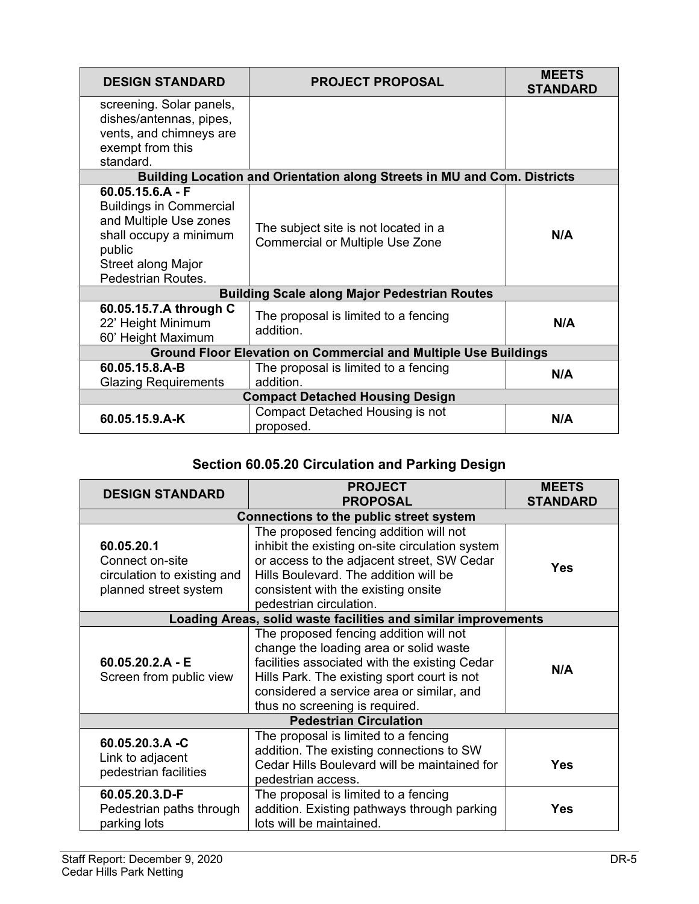| <b>DESIGN STANDARD</b>                                                                                                                                         | <b>PROJECT PROPOSAL</b>                                                        | <b>MEETS</b><br><b>STANDARD</b> |  |
|----------------------------------------------------------------------------------------------------------------------------------------------------------------|--------------------------------------------------------------------------------|---------------------------------|--|
| screening. Solar panels,<br>dishes/antennas, pipes,<br>vents, and chimneys are<br>exempt from this<br>standard.                                                |                                                                                |                                 |  |
|                                                                                                                                                                | Building Location and Orientation along Streets in MU and Com. Districts       |                                 |  |
| $60.05.15.6.A - F$<br><b>Buildings in Commercial</b><br>and Multiple Use zones<br>shall occupy a minimum<br>public<br>Street along Major<br>Pedestrian Routes. | The subject site is not located in a<br><b>Commercial or Multiple Use Zone</b> | N/A                             |  |
|                                                                                                                                                                | <b>Building Scale along Major Pedestrian Routes</b>                            |                                 |  |
| 60.05.15.7.A through C<br>22' Height Minimum<br>60' Height Maximum                                                                                             | The proposal is limited to a fencing<br>addition.                              | N/A                             |  |
| <b>Ground Floor Elevation on Commercial and Multiple Use Buildings</b>                                                                                         |                                                                                |                                 |  |
| 60.05.15.8.A-B<br><b>Glazing Requirements</b>                                                                                                                  | The proposal is limited to a fencing<br>addition.                              | N/A                             |  |
| <b>Compact Detached Housing Design</b>                                                                                                                         |                                                                                |                                 |  |
| 60.05.15.9.A-K                                                                                                                                                 | Compact Detached Housing is not<br>proposed.                                   | N/A                             |  |

# **Section 60.05.20 Circulation and Parking Design**

| <b>DESIGN STANDARD</b>                                                                | <b>PROJECT</b><br><b>PROPOSAL</b>                                                                                                                                                                                                                               |     |  |
|---------------------------------------------------------------------------------------|-----------------------------------------------------------------------------------------------------------------------------------------------------------------------------------------------------------------------------------------------------------------|-----|--|
| <b>STANDARD</b><br>Connections to the public street system                            |                                                                                                                                                                                                                                                                 |     |  |
| 60.05.20.1<br>Connect on-site<br>circulation to existing and<br>planned street system | The proposed fencing addition will not<br>inhibit the existing on-site circulation system<br>or access to the adjacent street, SW Cedar<br>Hills Boulevard. The addition will be<br>consistent with the existing onsite<br>pedestrian circulation.              | Yes |  |
|                                                                                       | Loading Areas, solid waste facilities and similar improvements                                                                                                                                                                                                  |     |  |
| $60.05.20.2.A - E$<br>Screen from public view                                         | The proposed fencing addition will not<br>change the loading area or solid waste<br>facilities associated with the existing Cedar<br>Hills Park. The existing sport court is not<br>considered a service area or similar, and<br>thus no screening is required. | N/A |  |
|                                                                                       | <b>Pedestrian Circulation</b>                                                                                                                                                                                                                                   |     |  |
| 60.05.20.3.A -C<br>Link to adjacent<br>pedestrian facilities                          | The proposal is limited to a fencing<br>addition. The existing connections to SW<br>Cedar Hills Boulevard will be maintained for<br>pedestrian access.                                                                                                          | Yes |  |
| 60.05.20.3.D-F<br>Pedestrian paths through<br>parking lots                            | The proposal is limited to a fencing<br>addition. Existing pathways through parking<br>lots will be maintained.                                                                                                                                                 | Yes |  |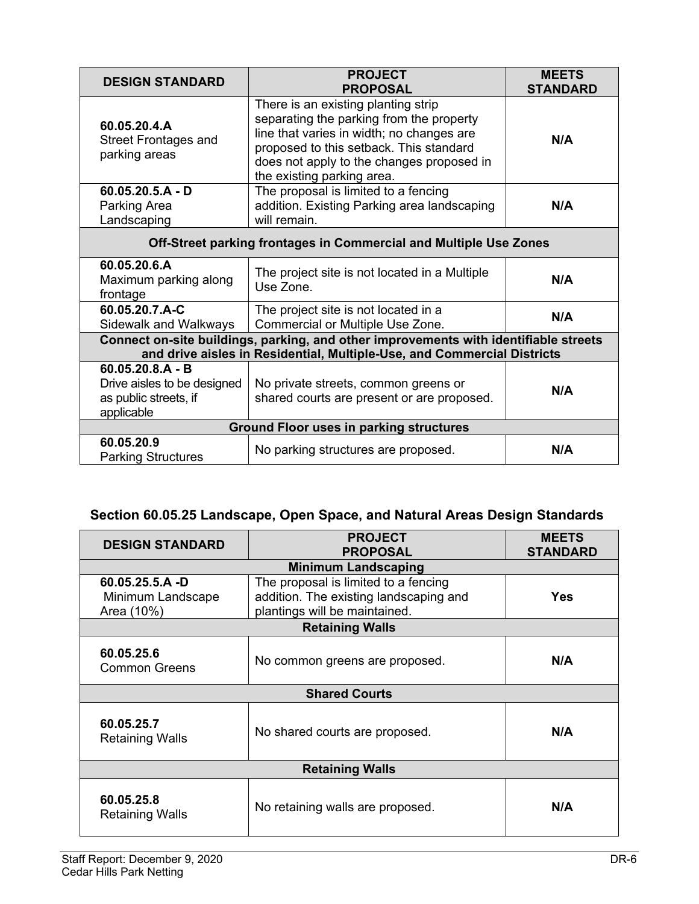| <b>DESIGN STANDARD</b>                                                                   | <b>PROJECT</b><br><b>PROPOSAL</b>                                                                                                                                                                                                                  | <b>MEETS</b><br><b>STANDARD</b> |  |  |
|------------------------------------------------------------------------------------------|----------------------------------------------------------------------------------------------------------------------------------------------------------------------------------------------------------------------------------------------------|---------------------------------|--|--|
| 60.05.20.4.A<br><b>Street Frontages and</b><br>parking areas                             | There is an existing planting strip<br>separating the parking from the property<br>line that varies in width; no changes are<br>proposed to this setback. This standard<br>does not apply to the changes proposed in<br>the existing parking area. | N/A                             |  |  |
| $60.05.20.5.A - D$<br>Parking Area<br>Landscaping                                        | The proposal is limited to a fencing<br>addition. Existing Parking area landscaping<br>will remain.                                                                                                                                                | N/A                             |  |  |
| Off-Street parking frontages in Commercial and Multiple Use Zones                        |                                                                                                                                                                                                                                                    |                                 |  |  |
| 60.05.20.6.A<br>Maximum parking along<br>frontage                                        | The project site is not located in a Multiple<br>Use Zone.                                                                                                                                                                                         | N/A                             |  |  |
| 60.05.20.7.A-C<br>Sidewalk and Walkways                                                  | The project site is not located in a<br>Commercial or Multiple Use Zone.                                                                                                                                                                           | N/A                             |  |  |
|                                                                                          | Connect on-site buildings, parking, and other improvements with identifiable streets<br>and drive aisles in Residential, Multiple-Use, and Commercial Districts                                                                                    |                                 |  |  |
| $60.05.20.8.A - B$<br>Drive aisles to be designed<br>as public streets, if<br>applicable | No private streets, common greens or<br>shared courts are present or are proposed.                                                                                                                                                                 | N/A                             |  |  |
| <b>Ground Floor uses in parking structures</b>                                           |                                                                                                                                                                                                                                                    |                                 |  |  |
| 60.05.20.9<br><b>Parking Structures</b>                                                  | No parking structures are proposed.                                                                                                                                                                                                                | N/A                             |  |  |

# **Section 60.05.25 Landscape, Open Space, and Natural Areas Design Standards**

| <b>DESIGN STANDARD</b>                                | <b>PROJECT</b><br><b>PROPOSAL</b>                                                                               | <b>MEETS</b><br><b>STANDARD</b> |  |
|-------------------------------------------------------|-----------------------------------------------------------------------------------------------------------------|---------------------------------|--|
| <b>Minimum Landscaping</b>                            |                                                                                                                 |                                 |  |
| $60.05.25.5.A - D$<br>Minimum Landscape<br>Area (10%) | The proposal is limited to a fencing<br>addition. The existing landscaping and<br>plantings will be maintained. | <b>Yes</b>                      |  |
| <b>Retaining Walls</b>                                |                                                                                                                 |                                 |  |
| 60.05.25.6<br><b>Common Greens</b>                    | No common greens are proposed.                                                                                  | N/A                             |  |
| <b>Shared Courts</b>                                  |                                                                                                                 |                                 |  |
| 60.05.25.7<br><b>Retaining Walls</b>                  | No shared courts are proposed.                                                                                  | N/A                             |  |
| <b>Retaining Walls</b>                                |                                                                                                                 |                                 |  |
| 60.05.25.8<br><b>Retaining Walls</b>                  | No retaining walls are proposed.                                                                                | N/A                             |  |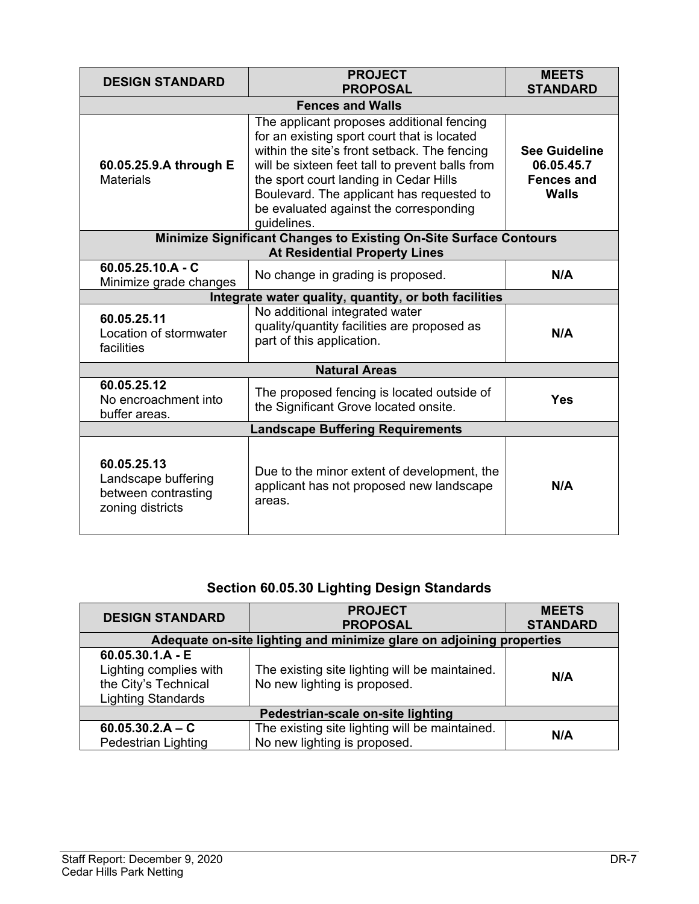| <b>DESIGN STANDARD</b>                                                                                    | <b>PROJECT</b><br><b>PROPOSAL</b>                                                                                                                                                                                                                                                                                                           | <b>MEETS</b><br><b>STANDARD</b>                                         |  |
|-----------------------------------------------------------------------------------------------------------|---------------------------------------------------------------------------------------------------------------------------------------------------------------------------------------------------------------------------------------------------------------------------------------------------------------------------------------------|-------------------------------------------------------------------------|--|
| <b>Fences and Walls</b>                                                                                   |                                                                                                                                                                                                                                                                                                                                             |                                                                         |  |
| 60.05.25.9.A through E<br><b>Materials</b>                                                                | The applicant proposes additional fencing<br>for an existing sport court that is located<br>within the site's front setback. The fencing<br>will be sixteen feet tall to prevent balls from<br>the sport court landing in Cedar Hills<br>Boulevard. The applicant has requested to<br>be evaluated against the corresponding<br>guidelines. | <b>See Guideline</b><br>06.05.45.7<br><b>Fences and</b><br><b>Walls</b> |  |
| Minimize Significant Changes to Existing On-Site Surface Contours<br><b>At Residential Property Lines</b> |                                                                                                                                                                                                                                                                                                                                             |                                                                         |  |
| $60.05.25.10.A - C$<br>Minimize grade changes                                                             | No change in grading is proposed.                                                                                                                                                                                                                                                                                                           | N/A                                                                     |  |
| Integrate water quality, quantity, or both facilities                                                     |                                                                                                                                                                                                                                                                                                                                             |                                                                         |  |
| 60.05.25.11<br>Location of stormwater<br>facilities                                                       | No additional integrated water<br>quality/quantity facilities are proposed as<br>part of this application.                                                                                                                                                                                                                                  | N/A                                                                     |  |
| <b>Natural Areas</b>                                                                                      |                                                                                                                                                                                                                                                                                                                                             |                                                                         |  |
| 60.05.25.12<br>No encroachment into<br>buffer areas.                                                      | The proposed fencing is located outside of<br>the Significant Grove located onsite.                                                                                                                                                                                                                                                         | Yes                                                                     |  |
| <b>Landscape Buffering Requirements</b>                                                                   |                                                                                                                                                                                                                                                                                                                                             |                                                                         |  |
| 60.05.25.13<br>Landscape buffering<br>between contrasting<br>zoning districts                             | Due to the minor extent of development, the<br>applicant has not proposed new landscape<br>areas.                                                                                                                                                                                                                                           | N/A                                                                     |  |

# **Section 60.05.30 Lighting Design Standards**

| <b>DESIGN STANDARD</b>                                                                            | <b>PROJECT</b><br><b>PROPOSAL</b>                                              | <b>MEETS</b><br><b>STANDARD</b> |  |
|---------------------------------------------------------------------------------------------------|--------------------------------------------------------------------------------|---------------------------------|--|
| Adequate on-site lighting and minimize glare on adjoining properties                              |                                                                                |                                 |  |
| $60.05.30.1.A - E$<br>Lighting complies with<br>the City's Technical<br><b>Lighting Standards</b> | The existing site lighting will be maintained.<br>No new lighting is proposed. | N/A                             |  |
| Pedestrian-scale on-site lighting                                                                 |                                                                                |                                 |  |
| $60.05.30.2.A - C$<br><b>Pedestrian Lighting</b>                                                  | The existing site lighting will be maintained.<br>No new lighting is proposed. | N/A                             |  |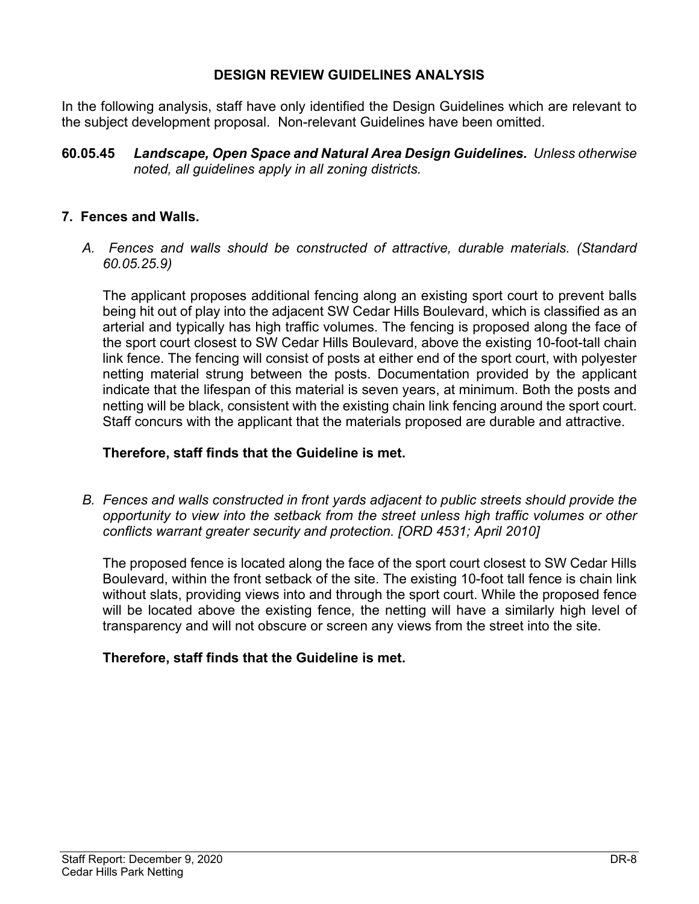#### **DESIGN REVIEW GUIDELINES ANALYSIS**

In the following analysis, staff have only identified the Design Guidelines which are relevant to the subject development proposal. Non-relevant Guidelines have been omitted.

**60.05.45** *Landscape, Open Space and Natural Area Design Guidelines. Unless otherwise noted, all guidelines apply in all zoning districts.*

#### **7. Fences and Walls.**

*A. Fences and walls should be constructed of attractive, durable materials. (Standard 60.05.25.9)* 

The applicant proposes additional fencing along an existing sport court to prevent balls being hit out of play into the adjacent SW Cedar Hills Boulevard, which is classified as an arterial and typically has high traffic volumes. The fencing is proposed along the face of the sport court closest to SW Cedar Hills Boulevard, above the existing 10-foot-tall chain link fence. The fencing will consist of posts at either end of the sport court, with polyester netting material strung between the posts. Documentation provided by the applicant indicate that the lifespan of this material is seven years, at minimum. Both the posts and netting will be black, consistent with the existing chain link fencing around the sport court. Staff concurs with the applicant that the materials proposed are durable and attractive.

#### **Therefore, staff finds that the Guideline is met.**

*B. Fences and walls constructed in front yards adjacent to public streets should provide the opportunity to view into the setback from the street unless high traffic volumes or other conflicts warrant greater security and protection. [ORD 4531; April 2010]* 

The proposed fence is located along the face of the sport court closest to SW Cedar Hills Boulevard, within the front setback of the site. The existing 10-foot tall fence is chain link without slats, providing views into and through the sport court. While the proposed fence will be located above the existing fence, the netting will have a similarly high level of transparency and will not obscure or screen any views from the street into the site.

#### **Therefore, staff finds that the Guideline is met.**